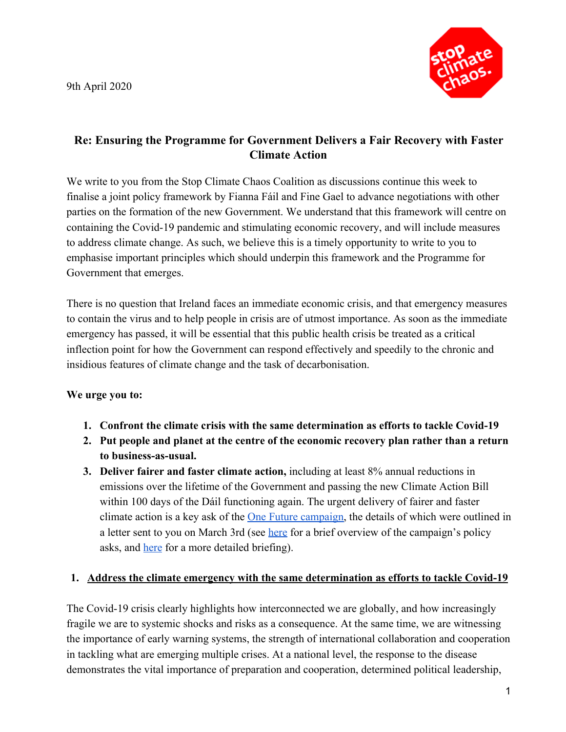9th April 2020



# **Re: Ensuring the Programme for Government Delivers a Fair Recovery with Faster Climate Action**

We write to you from the Stop Climate Chaos Coalition as discussions continue this week to finalise a joint policy framework by Fianna Fáil and Fine Gael to advance negotiations with other parties on the formation of the new Government. We understand that this framework will centre on containing the Covid-19 pandemic and stimulating economic recovery, and will include measures to address climate change. As such, we believe this is a timely opportunity to write to you to emphasise important principles which should underpin this framework and the Programme for Government that emerges.

There is no question that Ireland faces an immediate economic crisis, and that emergency measures to contain the virus and to help people in crisis are of utmost importance. As soon as the immediate emergency has passed, it will be essential that this public health crisis be treated as a critical inflection point for how the Government can respond effectively and speedily to the chronic and insidious features of climate change and the task of decarbonisation.

### **We urge you to:**

- **1. Confront the climate crisis with the same determination as efforts to tackle Covid-19**
- **2. Put people and planet at the centre of the economic recovery plan rather than a return to business-as-usual.**
- **3. Deliver fairer and faster climate action,** including at least 8% annual reductions in emissions over the lifetime of the Government and passing the new Climate Action Bill within 100 days of the Dáil functioning again. The urgent delivery of fairer and faster climate action is a key ask of the <u>One Future campaign</u>, the details of which were outlined in a letter sent to you on March 3rd (see [here](https://www.onefuture.ie/assets/files/pdf/one_future_policy_asks.pdf) for a brief overview of the campaign's policy asks, and [here](https://www.onefuture.ie/assets/files/pdf/one_future_detailed_briefing.pdf) for a more detailed briefing).

### **1. Address the climate emergency with the same determination as efforts to tackle Covid-19**

The Covid-19 crisis clearly highlights how interconnected we are globally, and how increasingly fragile we are to systemic shocks and risks as a consequence. At the same time, we are witnessing the importance of early warning systems, the strength of international collaboration and cooperation in tackling what are emerging multiple crises. At a national level, the response to the disease demonstrates the vital importance of preparation and cooperation, determined political leadership,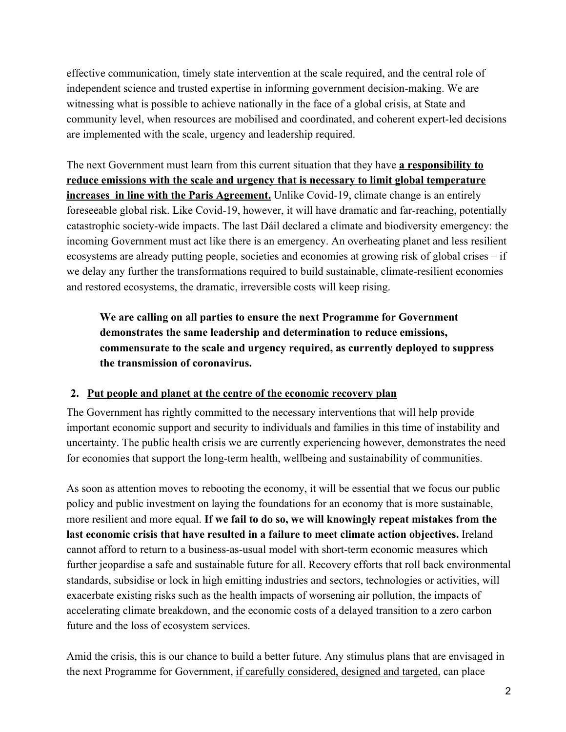effective communication, timely state intervention at the scale required, and the central role of independent science and trusted expertise in informing government decision-making. We are witnessing what is possible to achieve nationally in the face of a global crisis, at State and community level, when resources are mobilised and coordinated, and coherent expert-led decisions are implemented with the scale, urgency and leadership required.

The next Government must learn from this current situation that they have **a responsibility to reduce emissions with the scale and urgency that is necessary to limit global temperature increases in line with the Paris Agreement.** Unlike Covid-19, climate change is an entirely foreseeable global risk. Like Covid-19, however, it will have dramatic and far-reaching, potentially catastrophic society-wide impacts. The last Dáil declared a climate and biodiversity emergency: the incoming Government must act like there is an emergency. An overheating planet and less resilient ecosystems are already putting people, societies and economies at growing risk of global crises – if we delay any further the transformations required to build sustainable, climate-resilient economies and restored ecosystems, the dramatic, irreversible costs will keep rising.

**We are calling on all parties to ensure the next Programme for Government demonstrates the same leadership and determination to reduce emissions, commensurate to the scale and urgency required, as currently deployed to suppress the transmission of coronavirus.**

## **2. Put people and planet at the centre of the economic recovery plan**

The Government has rightly committed to the necessary interventions that will help provide important economic support and security to individuals and families in this time of instability and uncertainty. The public health crisis we are currently experiencing however, demonstrates the need for economies that support the long-term health, wellbeing and sustainability of communities.

As soon as attention moves to rebooting the economy, it will be essential that we focus our public policy and public investment on laying the foundations for an economy that is more sustainable, more resilient and more equal. **If we fail to do so, we will knowingly repeat mistakes from the last economic crisis that have resulted in a failure to meet climate action objectives.** Ireland cannot afford to return to a business-as-usual model with short-term economic measures which further jeopardise a safe and sustainable future for all. Recovery efforts that roll back environmental standards, subsidise or lock in high emitting industries and sectors, technologies or activities, will exacerbate existing risks such as the health impacts of worsening air pollution, the impacts of accelerating climate breakdown, and the economic costs of a delayed transition to a zero carbon future and the loss of ecosystem services.

Amid the crisis, this is our chance to build a better future. Any stimulus plans that are envisaged in the next Programme for Government, if carefully considered, designed and targeted, can place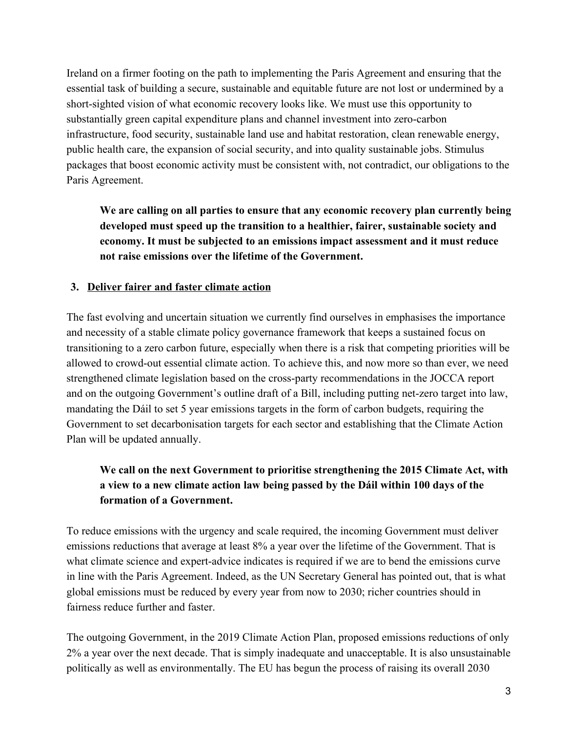Ireland on a firmer footing on the path to implementing the Paris Agreement and ensuring that the essential task of building a secure, sustainable and equitable future are not lost or undermined by a short-sighted vision of what economic recovery looks like. We must use this opportunity to substantially green capital expenditure plans and channel investment into zero-carbon infrastructure, food security, sustainable land use and habitat restoration, clean renewable energy, public health care, the expansion of social security, and into quality sustainable jobs. Stimulus packages that boost economic activity must be consistent with, not contradict, our obligations to the Paris Agreement.

**We are calling on all parties to ensure that any economic recovery plan currently being developed must speed up the transition to a healthier, fairer, sustainable society and economy. It must be subjected to an emissions impact assessment and it must reduce not raise emissions over the lifetime of the Government.**

### **3. Deliver fairer and faster climate action**

The fast evolving and uncertain situation we currently find ourselves in emphasises the importance and necessity of a stable climate policy governance framework that keeps a sustained focus on transitioning to a zero carbon future, especially when there is a risk that competing priorities will be allowed to crowd-out essential climate action. To achieve this, and now more so than ever, we need strengthened climate legislation based on the cross-party recommendations in the JOCCA report and on the outgoing Government's outline draft of a Bill, including putting net-zero target into law, mandating the Dáil to set 5 year emissions targets in the form of carbon budgets, requiring the Government to set decarbonisation targets for each sector and establishing that the Climate Action Plan will be updated annually.

# **We call on the next Government to prioritise strengthening the 2015 Climate Act, with a view to a new climate action law being passed by the Dáil within 100 days of the formation of a Government.**

To reduce emissions with the urgency and scale required, the incoming Government must deliver emissions reductions that average at least 8% a year over the lifetime of the Government. That is what climate science and expert-advice indicates is required if we are to bend the emissions curve in line with the Paris Agreement. Indeed, as the UN Secretary General has pointed out, that is what global emissions must be reduced by every year from now to 2030; richer countries should in fairness reduce further and faster.

The outgoing Government, in the 2019 Climate Action Plan, proposed emissions reductions of only 2% a year over the next decade. That is simply inadequate and unacceptable. It is also unsustainable politically as well as environmentally. The EU has begun the process of raising its overall 2030